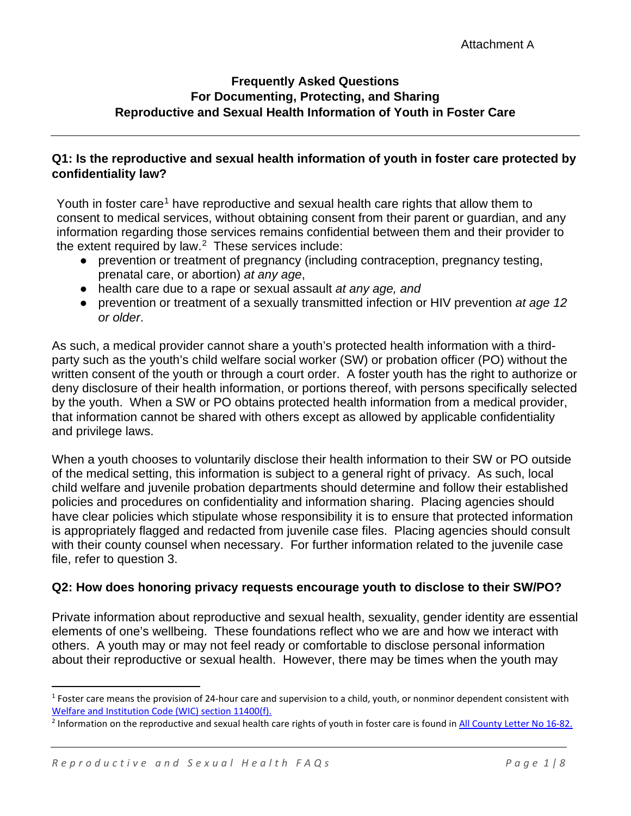#### **Frequently Asked Questions For Documenting, Protecting, and Sharing Reproductive and Sexual Health Information of Youth in Foster Care**

#### **Q1: Is the reproductive and sexual health information of youth in foster care protected by confidentiality law?**

Youth in foster care<sup>1</sup> have reproductive and sexual health care rights that allow them to consent to medical services, without obtaining consent from their parent or guardian, and any information regarding those services remains confidential between them and their provider to the extent required by law. $2$  These services include:

- prevention or treatment of pregnancy (including contraception, pregnancy testing, prenatal care, or abortion) *at any age*,
- health care due to a rape or sexual assault *at any age, and*
- prevention or treatment of a sexually transmitted infection or HIV prevention *at age 12 or older*.

As such, a medical provider cannot share a youth's protected health information with a thirdparty such as the youth's child welfare social worker (SW) or probation officer (PO) without the written consent of the youth or through a court order. A foster youth has the right to authorize or deny disclosure of their health information, or portions thereof, with persons specifically selected by the youth. When a SW or PO obtains protected health information from a medical provider, that information cannot be shared with others except as allowed by applicable confidentiality and privilege laws.

When a youth chooses to voluntarily disclose their health information to their SW or PO outside of the medical setting, this information is subject to a general right of privacy. As such, local child welfare and juvenile probation departments should determine and follow their established policies and procedures on confidentiality and information sharing. Placing agencies should have clear policies which stipulate whose responsibility it is to ensure that protected information is appropriately flagged and redacted from juvenile case files. Placing agencies should consult with their county counsel when necessary. For further information related to the juvenile case file, refer to question 3.

## **Q2: How does honoring privacy requests encourage youth to disclose to their SW/PO?**

Private information about reproductive and sexual health, sexuality, gender identity are essential elements of one's wellbeing. These foundations reflect who we are and how we interact with others. A youth may or may not feel ready or comfortable to disclose personal information about their reproductive or sexual health. However, there may be times when the youth may

 $1$  Foster care means the provision of 24-hour care and supervision to a child, youth, or nonminor dependent consistent with Welfare and Institution Code (WIC) section 11400(f).

<sup>&</sup>lt;sup>2</sup> Information on the reproductive and sexual health care rights of youth in foster care is found in All County Letter No 16-82.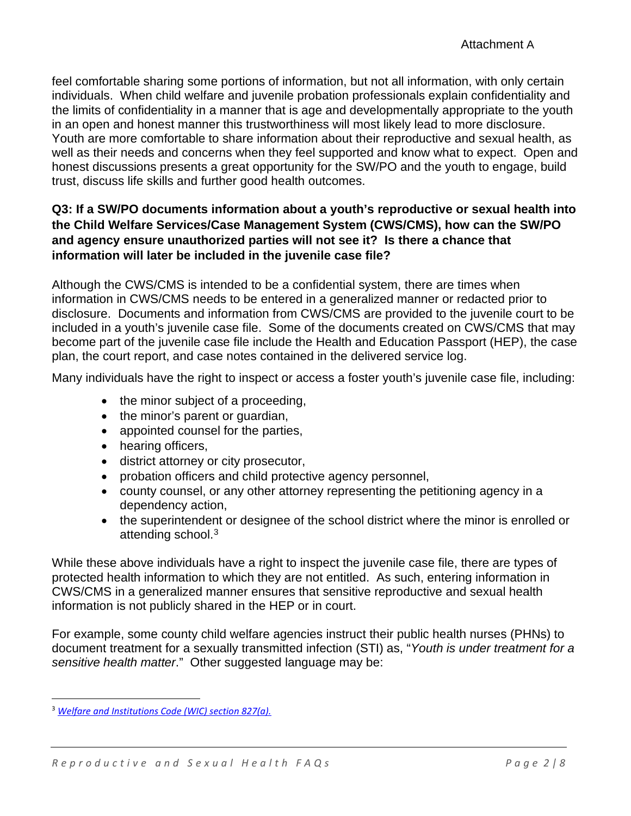feel comfortable sharing some portions of information, but not all information, with only certain individuals. When child welfare and juvenile probation professionals explain confidentiality and the limits of confidentiality in a manner that is age and developmentally appropriate to the youth in an open and honest manner this trustworthiness will most likely lead to more disclosure. Youth are more comfortable to share information about their reproductive and sexual health, as well as their needs and concerns when they feel supported and know what to expect. Open and honest discussions presents a great opportunity for the SW/PO and the youth to engage, build trust, discuss life skills and further good health outcomes.

### **Q3: If a SW/PO documents information about a youth's reproductive or sexual health into the Child Welfare Services/Case Management System (CWS/CMS), how can the SW/PO and agency ensure unauthorized parties will not see it? Is there a chance that information will later be included in the juvenile case file?**

Although the CWS/CMS is intended to be a confidential system, there are times when information in CWS/CMS needs to be entered in a generalized manner or redacted prior to disclosure. Documents and information from CWS/CMS are provided to the juvenile court to be included in a youth's juvenile case file. Some of the documents created on CWS/CMS that may become part of the juvenile case file include the Health and Education Passport (HEP), the case plan, the court report, and case notes contained in the delivered service log.

Many individuals have the right to inspect or access a foster youth's juvenile case file, including:

- the minor subject of a proceeding,
- the minor's parent or quardian,
- appointed counsel for the parties,
- hearing officers,
- district attorney or city prosecutor,
- probation officers and child protective agency personnel,
- county counsel, or any other attorney representing the petitioning agency in a dependency action,
- the superintendent or designee of the school district where the minor is enrolled or attending school.<sup>3</sup>

While these above individuals have a right to inspect the juvenile case file, there are types of protected health information to which they are not entitled. As such, entering information in CWS/CMS in a generalized manner ensures that sensitive reproductive and sexual health information is not publicly shared in the HEP or in court.

For example, some county child welfare agencies instruct their public health nurses (PHNs) to document treatment for a sexually transmitted infection (STI) as, "*Youth is under treatment for a sensitive health matter*." Other suggested language may be:

<sup>3</sup> *Welfare and Institutions Code (WIC) section 827(a).*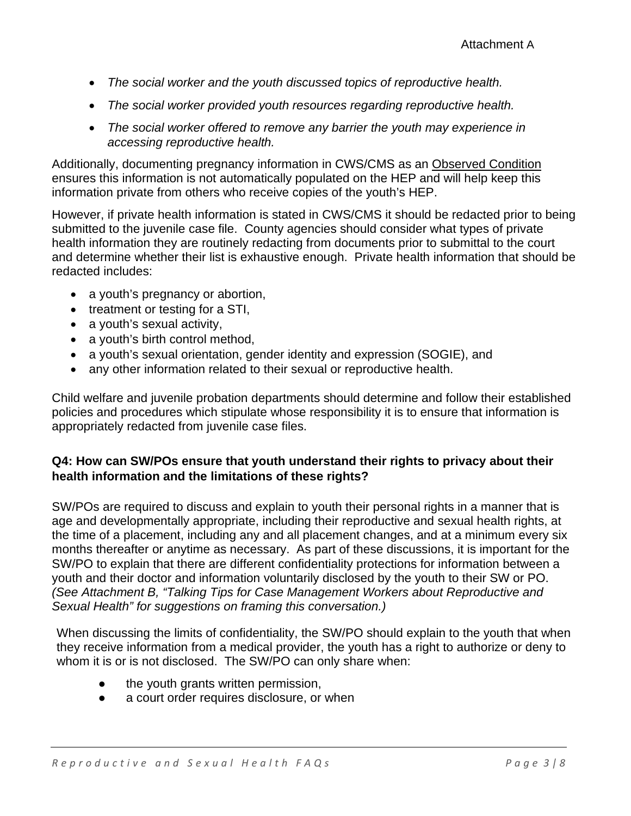- *The social worker and the youth discussed topics of reproductive health.*
- *The social worker provided youth resources regarding reproductive health.*
- *The social worker offered to remove any barrier the youth may experience in accessing reproductive health.*

Additionally, documenting pregnancy information in CWS/CMS as an Observed Condition ensures this information is not automatically populated on the HEP and will help keep this information private from others who receive copies of the youth's HEP.

However, if private health information is stated in CWS/CMS it should be redacted prior to being submitted to the juvenile case file. County agencies should consider what types of private health information they are routinely redacting from documents prior to submittal to the court and determine whether their list is exhaustive enough. Private health information that should be redacted includes:

- a youth's pregnancy or abortion,
- treatment or testing for a STI,
- a youth's sexual activity,
- a youth's birth control method,
- a youth's sexual orientation, gender identity and expression (SOGIE), and
- any other information related to their sexual or reproductive health.

Child welfare and juvenile probation departments should determine and follow their established policies and procedures which stipulate whose responsibility it is to ensure that information is appropriately redacted from juvenile case files.

## **Q4: How can SW/POs ensure that youth understand their rights to privacy about their health information and the limitations of these rights?**

SW/POs are required to discuss and explain to youth their personal rights in a manner that is age and developmentally appropriate, including their reproductive and sexual health rights, at the time of a placement, including any and all placement changes, and at a minimum every six months thereafter or anytime as necessary. As part of these discussions, it is important for the SW/PO to explain that there are different confidentiality protections for information between a youth and their doctor and information voluntarily disclosed by the youth to their SW or PO. *(See Attachment B, "Talking Tips for Case Management Workers about Reproductive and Sexual Health" for suggestions on framing this conversation.)*

When discussing the limits of confidentiality, the SW/PO should explain to the youth that when they receive information from a medical provider, the youth has a right to authorize or deny to whom it is or is not disclosed. The SW/PO can only share when:

- the youth grants written permission,
- a court order requires disclosure, or when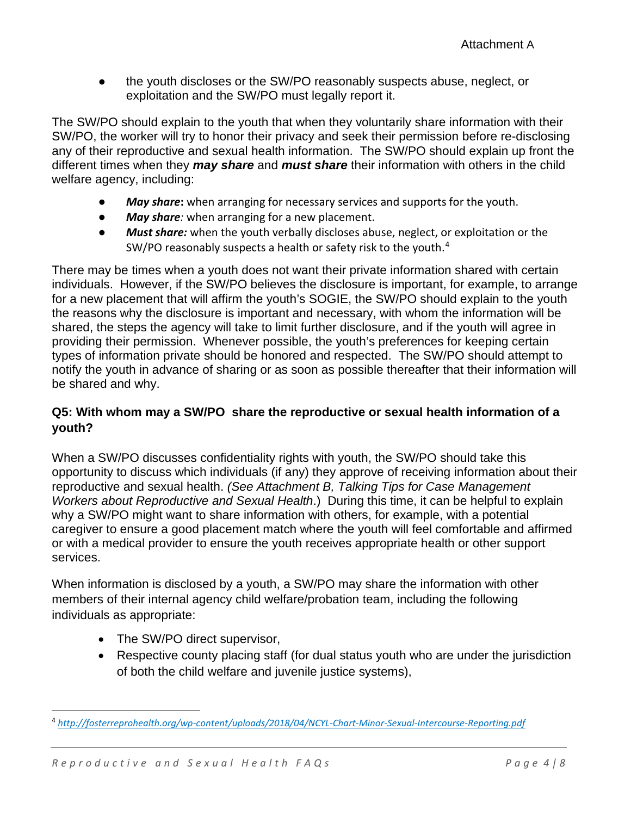the youth discloses or the SW/PO reasonably suspects abuse, neglect, or exploitation and the SW/PO must legally report it.

The SW/PO should explain to the youth that when they voluntarily share information with their SW/PO, the worker will try to honor their privacy and seek their permission before re-disclosing any of their reproductive and sexual health information. The SW/PO should explain up front the different times when they *may share* and *must share* their information with others in the child welfare agency, including:

- *May share***:** when arranging for necessary services and supports for the youth.
- *May share:* when arranging for a new placement.
- *Must share:* when the youth verbally discloses abuse, neglect, or exploitation or the SW/PO reasonably suspects a health or safety risk to the youth.<sup>4</sup>

There may be times when a youth does not want their private information shared with certain individuals. However, if the SW/PO believes the disclosure is important, for example, to arrange for a new placement that will affirm the youth's SOGIE, the SW/PO should explain to the youth the reasons why the disclosure is important and necessary, with whom the information will be shared, the steps the agency will take to limit further disclosure, and if the youth will agree in providing their permission. Whenever possible, the youth's preferences for keeping certain types of information private should be honored and respected. The SW/PO should attempt to notify the youth in advance of sharing or as soon as possible thereafter that their information will be shared and why.

## **Q5: With whom may a SW/PO share the reproductive or sexual health information of a youth?**

When a SW/PO discusses confidentiality rights with youth, the SW/PO should take this opportunity to discuss which individuals (if any) they approve of receiving information about their reproductive and sexual health. *(See Attachment B, Talking Tips for Case Management Workers about Reproductive and Sexual Health*.) During this time, it can be helpful to explain why a SW/PO might want to share information with others, for example, with a potential caregiver to ensure a good placement match where the youth will feel comfortable and affirmed or with a medical provider to ensure the youth receives appropriate health or other support services.

When information is disclosed by a youth, a SW/PO may share the information with other members of their internal agency child welfare/probation team, including the following individuals as appropriate:

- The SW/PO direct supervisor,
- Respective county placing staff (for dual status youth who are under the jurisdiction of both the child welfare and juvenile justice systems),

<sup>4</sup> *http://fosterreprohealth.org/wp-content/uploads/2018/04/NCYL-Chart-Minor-Sexual-Intercourse-Reporting.pdf*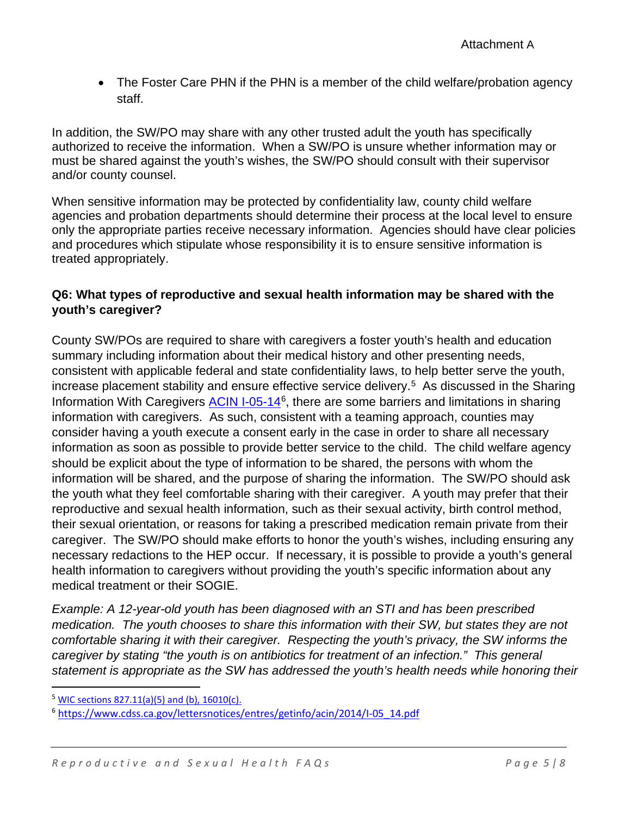• The Foster Care PHN if the PHN is a member of the child welfare/probation agency staff.

In addition, the SW/PO may share with any other trusted adult the youth has specifically authorized to receive the information. When a SW/PO is unsure whether information may or must be shared against the youth's wishes, the SW/PO should consult with their supervisor and/or county counsel.

When sensitive information may be protected by confidentiality law, county child welfare agencies and probation departments should determine their process at the local level to ensure only the appropriate parties receive necessary information. Agencies should have clear policies and procedures which stipulate whose responsibility it is to ensure sensitive information is treated appropriately.

### **Q6: What types of reproductive and sexual health information may be shared with the youth's caregiver?**

County SW/POs are required to share with caregivers a foster youth's health and education summary including information about their medical history and other presenting needs, consistent with applicable federal and state confidentiality laws, to help better serve the youth, increase placement stability and ensure effective service delivery.<sup>5</sup> As discussed in the Sharing Information With Caregivers ACIN I-05-14<sup>6</sup>, there are some barriers and limitations in sharing information with caregivers. As such, consistent with a teaming approach, counties may consider having a youth execute a consent early in the case in order to share all necessary information as soon as possible to provide better service to the child. The child welfare agency should be explicit about the type of information to be shared, the persons with whom the information will be shared, and the purpose of sharing the information. The SW/PO should ask the youth what they feel comfortable sharing with their caregiver. A youth may prefer that their reproductive and sexual health information, such as their sexual activity, birth control method, their sexual orientation, or reasons for taking a prescribed medication remain private from their caregiver. The SW/PO should make efforts to honor the youth's wishes, including ensuring any necessary redactions to the HEP occur. If necessary, it is possible to provide a youth's general health information to caregivers without providing the youth's specific information about any medical treatment or their SOGIE.

*Example: A 12-year-old youth has been diagnosed with an STI and has been prescribed medication. The youth chooses to share this information with their SW, but states they are not comfortable sharing it with their caregiver. Respecting the youth's privacy, the SW informs the caregiver by stating "the youth is on antibiotics for treatment of an infection." This general statement is appropriate as the SW has addressed the youth's health needs while honoring their* 

 $5$  WIC sections 827.11(a)(5) and (b), 16010(c).

<sup>6</sup> https://www.cdss.ca.gov/lettersnotices/entres/getinfo/acin/2014/I-05\_14.pdf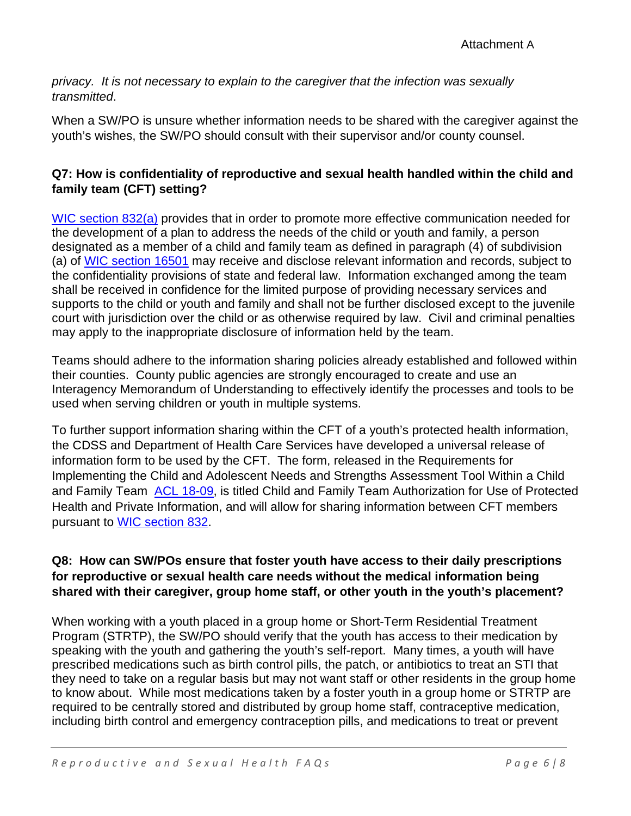*privacy. It is not necessary to explain to the caregiver that the infection was sexually transmitted*.

When a SW/PO is unsure whether information needs to be shared with the caregiver against the youth's wishes, the SW/PO should consult with their supervisor and/or county counsel.

# **Q7: How is confidentiality of reproductive and sexual health handled within the child and family team (CFT) setting?**

WIC section 832(a) provides that in order to promote more effective communication needed for the development of a plan to address the needs of the child or youth and family, a person designated as a member of a child and family team as defined in paragraph (4) of subdivision (a) of WIC section 16501 may receive and disclose relevant information and records, subject to the confidentiality provisions of state and federal law. Information exchanged among the team shall be received in confidence for the limited purpose of providing necessary services and supports to the child or youth and family and shall not be further disclosed except to the juvenile court with jurisdiction over the child or as otherwise required by law. Civil and criminal penalties may apply to the inappropriate disclosure of information held by the team.

Teams should adhere to the information sharing policies already established and followed within their counties. County public agencies are strongly encouraged to create and use an Interagency Memorandum of Understanding to effectively identify the processes and tools to be used when serving children or youth in multiple systems.

To further support information sharing within the CFT of a youth's protected health information, the CDSS and Department of Health Care Services have developed a universal release of information form to be used by the CFT. The form, released in the Requirements for Implementing the Child and Adolescent Needs and Strengths Assessment Tool Within a Child and Family Team ACL 18-09, is titled Child and Family Team Authorization for Use of Protected Health and Private Information, and will allow for sharing information between CFT members pursuant to WIC section 832.

## **Q8: How can SW/POs ensure that foster youth have access to their daily prescriptions for reproductive or sexual health care needs without the medical information being shared with their caregiver, group home staff, or other youth in the youth's placement?**

When working with a youth placed in a group home or Short-Term Residential Treatment Program (STRTP), the SW/PO should verify that the youth has access to their medication by speaking with the youth and gathering the youth's self-report. Many times, a youth will have prescribed medications such as birth control pills, the patch, or antibiotics to treat an STI that they need to take on a regular basis but may not want staff or other residents in the group home to know about. While most medications taken by a foster youth in a group home or STRTP are required to be centrally stored and distributed by group home staff, contraceptive medication, including birth control and emergency contraception pills, and medications to treat or prevent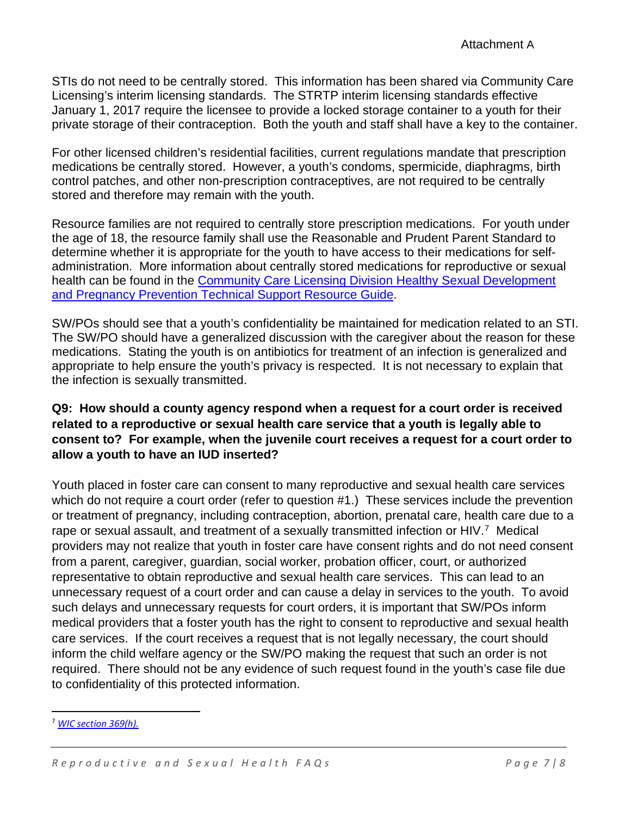STIs do not need to be centrally stored. This information has been shared via Community Care Licensing's interim licensing standards. The STRTP interim licensing standards effective January 1, 2017 require the licensee to provide a locked storage container to a youth for their private storage of their contraception. Both the youth and staff shall have a key to the container.

For other licensed children's residential facilities, current regulations mandate that prescription medications be centrally stored. However, a youth's condoms, spermicide, diaphragms, birth control patches, and other non-prescription contraceptives, are not required to be centrally stored and therefore may remain with the youth.

Resource families are not required to centrally store prescription medications. For youth under the age of 18, the resource family shall use the Reasonable and Prudent Parent Standard to determine whether it is appropriate for the youth to have access to their medications for selfadministration. More information about centrally stored medications for reproductive or sexual health can be found in the Community Care Licensing Division Healthy Sexual Development and Pregnancy Prevention Technical Support Resource Guide.

SW/POs should see that a youth's confidentiality be maintained for medication related to an STI. The SW/PO should have a generalized discussion with the caregiver about the reason for these medications. Stating the youth is on antibiotics for treatment of an infection is generalized and appropriate to help ensure the youth's privacy is respected. It is not necessary to explain that the infection is sexually transmitted.

### **Q9: How should a county agency respond when a request for a court order is received related to a reproductive or sexual health care service that a youth is legally able to consent to? For example, when the juvenile court receives a request for a court order to allow a youth to have an IUD inserted?**

Youth placed in foster care can consent to many reproductive and sexual health care services which do not require a court order (refer to question #1.) These services include the prevention or treatment of pregnancy, including contraception, abortion, prenatal care, health care due to a rape or sexual assault, and treatment of a sexually transmitted infection or HIV.<sup>7</sup> Medical providers may not realize that youth in foster care have consent rights and do not need consent from a parent, caregiver, guardian, social worker, probation officer, court, or authorized representative to obtain reproductive and sexual health care services. This can lead to an unnecessary request of a court order and can cause a delay in services to the youth. To avoid such delays and unnecessary requests for court orders, it is important that SW/POs inform medical providers that a foster youth has the right to consent to reproductive and sexual health care services. If the court receives a request that is not legally necessary, the court should inform the child welfare agency or the SW/PO making the request that such an order is not required. There should not be any evidence of such request found in the youth's case file due to confidentiality of this protected information.

<sup>7</sup> *WIC section 369(h).*